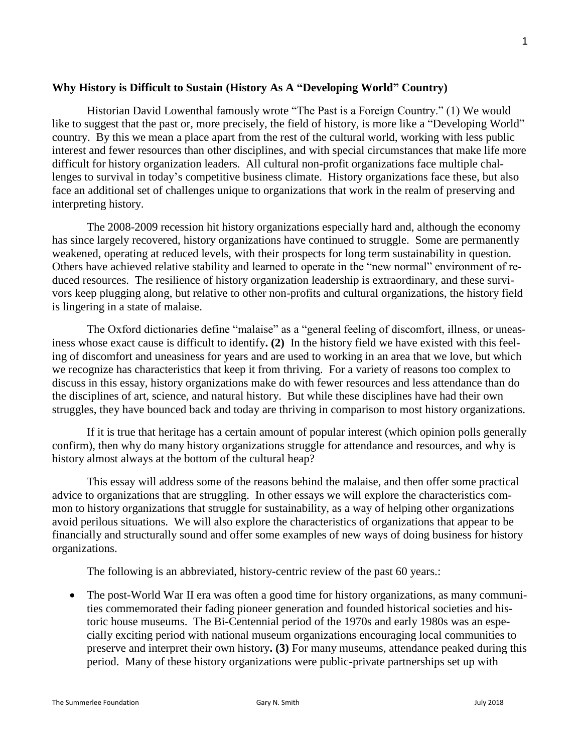### **Why History is Difficult to Sustain (History As A "Developing World" Country)**

Historian David Lowenthal famously wrote "The Past is a Foreign Country." (1) We would like to suggest that the past or, more precisely, the field of history, is more like a "Developing World" country. By this we mean a place apart from the rest of the cultural world, working with less public interest and fewer resources than other disciplines, and with special circumstances that make life more difficult for history organization leaders. All cultural non-profit organizations face multiple challenges to survival in today's competitive business climate. History organizations face these, but also face an additional set of challenges unique to organizations that work in the realm of preserving and interpreting history.

The 2008-2009 recession hit history organizations especially hard and, although the economy has since largely recovered, history organizations have continued to struggle. Some are permanently weakened, operating at reduced levels, with their prospects for long term sustainability in question. Others have achieved relative stability and learned to operate in the "new normal" environment of reduced resources. The resilience of history organization leadership is extraordinary, and these survivors keep plugging along, but relative to other non-profits and cultural organizations, the history field is lingering in a state of malaise.

The Oxford dictionaries define "malaise" as a "general feeling of discomfort, illness, or uneasiness whose exact cause is difficult to identify**. (2)** In the history field we have existed with this feeling of discomfort and uneasiness for years and are used to working in an area that we love, but which we recognize has characteristics that keep it from thriving. For a variety of reasons too complex to discuss in this essay, history organizations make do with fewer resources and less attendance than do the disciplines of art, science, and natural history. But while these disciplines have had their own struggles, they have bounced back and today are thriving in comparison to most history organizations.

If it is true that heritage has a certain amount of popular interest (which opinion polls generally confirm), then why do many history organizations struggle for attendance and resources, and why is history almost always at the bottom of the cultural heap?

This essay will address some of the reasons behind the malaise, and then offer some practical advice to organizations that are struggling. In other essays we will explore the characteristics common to history organizations that struggle for sustainability, as a way of helping other organizations avoid perilous situations. We will also explore the characteristics of organizations that appear to be financially and structurally sound and offer some examples of new ways of doing business for history organizations.

The following is an abbreviated, history-centric review of the past 60 years.:

• The post-World War II era was often a good time for history organizations, as many communities commemorated their fading pioneer generation and founded historical societies and historic house museums. The Bi-Centennial period of the 1970s and early 1980s was an especially exciting period with national museum organizations encouraging local communities to preserve and interpret their own history**. (3)** For many museums, attendance peaked during this period. Many of these history organizations were public-private partnerships set up with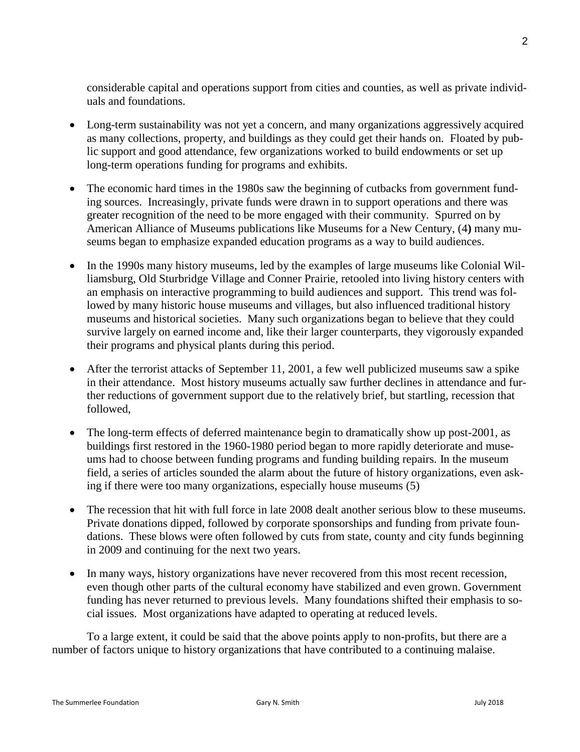considerable capital and operations support from cities and counties, as well as private individuals and foundations.

- Long-term sustainability was not yet a concern, and many organizations aggressively acquired as many collections, property, and buildings as they could get their hands on. Floated by public support and good attendance, few organizations worked to build endowments or set up long-term operations funding for programs and exhibits.
- The economic hard times in the 1980s saw the beginning of cutbacks from government funding sources. Increasingly, private funds were drawn in to support operations and there was greater recognition of the need to be more engaged with their community. Spurred on by American Alliance of Museums publications like Museums for a New Century, (4**)** many museums began to emphasize expanded education programs as a way to build audiences.
- In the 1990s many history museums, led by the examples of large museums like Colonial Williamsburg, Old Sturbridge Village and Conner Prairie, retooled into living history centers with an emphasis on interactive programming to build audiences and support. This trend was followed by many historic house museums and villages, but also influenced traditional history museums and historical societies. Many such organizations began to believe that they could survive largely on earned income and, like their larger counterparts, they vigorously expanded their programs and physical plants during this period.
- After the terrorist attacks of September 11, 2001, a few well publicized museums saw a spike in their attendance. Most history museums actually saw further declines in attendance and further reductions of government support due to the relatively brief, but startling, recession that followed,
- The long-term effects of deferred maintenance begin to dramatically show up post-2001, as buildings first restored in the 1960-1980 period began to more rapidly deteriorate and museums had to choose between funding programs and funding building repairs. In the museum field, a series of articles sounded the alarm about the future of history organizations, even asking if there were too many organizations, especially house museums (5)
- The recession that hit with full force in late 2008 dealt another serious blow to these museums. Private donations dipped, followed by corporate sponsorships and funding from private foundations. These blows were often followed by cuts from state, county and city funds beginning in 2009 and continuing for the next two years.
- In many ways, history organizations have never recovered from this most recent recession, even though other parts of the cultural economy have stabilized and even grown. Government funding has never returned to previous levels. Many foundations shifted their emphasis to social issues. Most organizations have adapted to operating at reduced levels.

To a large extent, it could be said that the above points apply to non-profits, but there are a number of factors unique to history organizations that have contributed to a continuing malaise.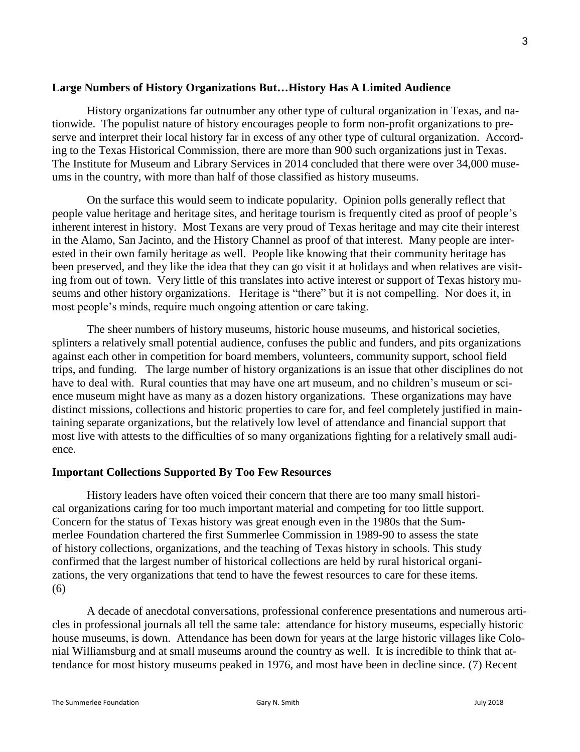## **Large Numbers of History Organizations But…History Has A Limited Audience**

History organizations far outnumber any other type of cultural organization in Texas, and nationwide. The populist nature of history encourages people to form non-profit organizations to preserve and interpret their local history far in excess of any other type of cultural organization. According to the Texas Historical Commission, there are more than 900 such organizations just in Texas. The Institute for Museum and Library Services in 2014 concluded that there were over 34,000 museums in the country, with more than half of those classified as history museums.

On the surface this would seem to indicate popularity. Opinion polls generally reflect that people value heritage and heritage sites, and heritage tourism is frequently cited as proof of people's inherent interest in history. Most Texans are very proud of Texas heritage and may cite their interest in the Alamo, San Jacinto, and the History Channel as proof of that interest. Many people are interested in their own family heritage as well. People like knowing that their community heritage has been preserved, and they like the idea that they can go visit it at holidays and when relatives are visiting from out of town. Very little of this translates into active interest or support of Texas history museums and other history organizations. Heritage is "there" but it is not compelling. Nor does it, in most people's minds, require much ongoing attention or care taking.

The sheer numbers of history museums, historic house museums, and historical societies, splinters a relatively small potential audience, confuses the public and funders, and pits organizations against each other in competition for board members, volunteers, community support, school field trips, and funding. The large number of history organizations is an issue that other disciplines do not have to deal with. Rural counties that may have one art museum, and no children's museum or science museum might have as many as a dozen history organizations. These organizations may have distinct missions, collections and historic properties to care for, and feel completely justified in maintaining separate organizations, but the relatively low level of attendance and financial support that most live with attests to the difficulties of so many organizations fighting for a relatively small audience.

### **Important Collections Supported By Too Few Resources**

History leaders have often voiced their concern that there are too many small historical organizations caring for too much important material and competing for too little support. Concern for the status of Texas history was great enough even in the 1980s that the Summerlee Foundation chartered the first Summerlee Commission in 1989-90 to assess the state of history collections, organizations, and the teaching of Texas history in schools. This study confirmed that the largest number of historical collections are held by rural historical organizations, the very organizations that tend to have the fewest resources to care for these items. (6)

A decade of anecdotal conversations, professional conference presentations and numerous articles in professional journals all tell the same tale: attendance for history museums, especially historic house museums, is down. Attendance has been down for years at the large historic villages like Colonial Williamsburg and at small museums around the country as well. It is incredible to think that attendance for most history museums peaked in 1976, and most have been in decline since. (7) Recent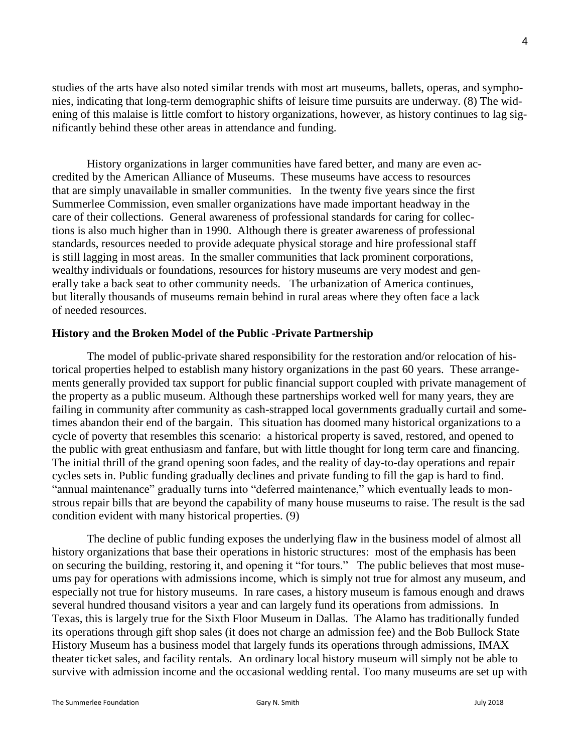studies of the arts have also noted similar trends with most art museums, ballets, operas, and symphonies, indicating that long-term demographic shifts of leisure time pursuits are underway. (8) The widening of this malaise is little comfort to history organizations, however, as history continues to lag significantly behind these other areas in attendance and funding.

History organizations in larger communities have fared better, and many are even accredited by the American Alliance of Museums. These museums have access to resources that are simply unavailable in smaller communities. In the twenty five years since the first Summerlee Commission, even smaller organizations have made important headway in the care of their collections. General awareness of professional standards for caring for collections is also much higher than in 1990. Although there is greater awareness of professional standards, resources needed to provide adequate physical storage and hire professional staff is still lagging in most areas. In the smaller communities that lack prominent corporations, wealthy individuals or foundations, resources for history museums are very modest and generally take a back seat to other community needs. The urbanization of America continues, but literally thousands of museums remain behind in rural areas where they often face a lack of needed resources.

#### **History and the Broken Model of the Public -Private Partnership**

The model of public-private shared responsibility for the restoration and/or relocation of historical properties helped to establish many history organizations in the past 60 years. These arrangements generally provided tax support for public financial support coupled with private management of the property as a public museum. Although these partnerships worked well for many years, they are failing in community after community as cash-strapped local governments gradually curtail and sometimes abandon their end of the bargain. This situation has doomed many historical organizations to a cycle of poverty that resembles this scenario: a historical property is saved, restored, and opened to the public with great enthusiasm and fanfare, but with little thought for long term care and financing. The initial thrill of the grand opening soon fades, and the reality of day-to-day operations and repair cycles sets in. Public funding gradually declines and private funding to fill the gap is hard to find. "annual maintenance" gradually turns into "deferred maintenance," which eventually leads to monstrous repair bills that are beyond the capability of many house museums to raise. The result is the sad condition evident with many historical properties. (9)

The decline of public funding exposes the underlying flaw in the business model of almost all history organizations that base their operations in historic structures: most of the emphasis has been on securing the building, restoring it, and opening it "for tours." The public believes that most museums pay for operations with admissions income, which is simply not true for almost any museum, and especially not true for history museums. In rare cases, a history museum is famous enough and draws several hundred thousand visitors a year and can largely fund its operations from admissions. In Texas, this is largely true for the Sixth Floor Museum in Dallas. The Alamo has traditionally funded its operations through gift shop sales (it does not charge an admission fee) and the Bob Bullock State History Museum has a business model that largely funds its operations through admissions, IMAX theater ticket sales, and facility rentals. An ordinary local history museum will simply not be able to survive with admission income and the occasional wedding rental. Too many museums are set up with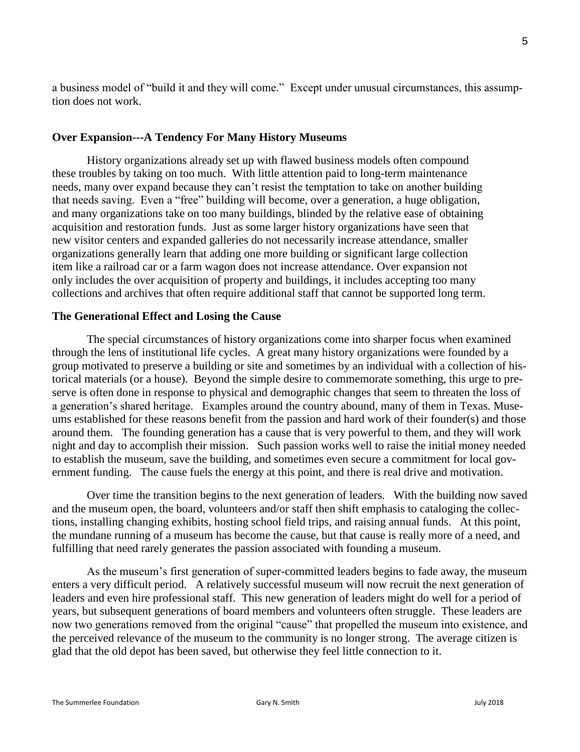5

a business model of "build it and they will come." Except under unusual circumstances, this assumption does not work.

# **Over Expansion---A Tendency For Many History Museums**

History organizations already set up with flawed business models often compound these troubles by taking on too much. With little attention paid to long-term maintenance needs, many over expand because they can't resist the temptation to take on another building that needs saving. Even a "free" building will become, over a generation, a huge obligation, and many organizations take on too many buildings, blinded by the relative ease of obtaining acquisition and restoration funds. Just as some larger history organizations have seen that new visitor centers and expanded galleries do not necessarily increase attendance, smaller organizations generally learn that adding one more building or significant large collection item like a railroad car or a farm wagon does not increase attendance. Over expansion not only includes the over acquisition of property and buildings, it includes accepting too many collections and archives that often require additional staff that cannot be supported long term.

# **The Generational Effect and Losing the Cause**

The special circumstances of history organizations come into sharper focus when examined through the lens of institutional life cycles. A great many history organizations were founded by a group motivated to preserve a building or site and sometimes by an individual with a collection of historical materials (or a house). Beyond the simple desire to commemorate something, this urge to preserve is often done in response to physical and demographic changes that seem to threaten the loss of a generation's shared heritage. Examples around the country abound, many of them in Texas. Museums established for these reasons benefit from the passion and hard work of their founder(s) and those around them. The founding generation has a cause that is very powerful to them, and they will work night and day to accomplish their mission. Such passion works well to raise the initial money needed to establish the museum, save the building, and sometimes even secure a commitment for local government funding. The cause fuels the energy at this point, and there is real drive and motivation.

Over time the transition begins to the next generation of leaders. With the building now saved and the museum open, the board, volunteers and/or staff then shift emphasis to cataloging the collections, installing changing exhibits, hosting school field trips, and raising annual funds. At this point, the mundane running of a museum has become the cause, but that cause is really more of a need, and fulfilling that need rarely generates the passion associated with founding a museum.

As the museum's first generation of super-committed leaders begins to fade away, the museum enters a very difficult period. A relatively successful museum will now recruit the next generation of leaders and even hire professional staff. This new generation of leaders might do well for a period of years, but subsequent generations of board members and volunteers often struggle. These leaders are now two generations removed from the original "cause" that propelled the museum into existence, and the perceived relevance of the museum to the community is no longer strong. The average citizen is glad that the old depot has been saved, but otherwise they feel little connection to it.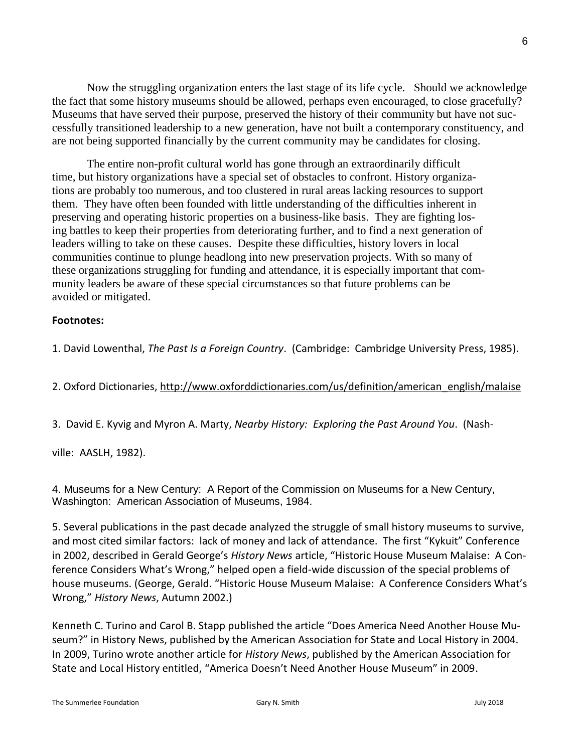Now the struggling organization enters the last stage of its life cycle. Should we acknowledge the fact that some history museums should be allowed, perhaps even encouraged, to close gracefully? Museums that have served their purpose, preserved the history of their community but have not successfully transitioned leadership to a new generation, have not built a contemporary constituency, and are not being supported financially by the current community may be candidates for closing.

The entire non-profit cultural world has gone through an extraordinarily difficult time, but history organizations have a special set of obstacles to confront. History organizations are probably too numerous, and too clustered in rural areas lacking resources to support them. They have often been founded with little understanding of the difficulties inherent in preserving and operating historic properties on a business-like basis. They are fighting losing battles to keep their properties from deteriorating further, and to find a next generation of leaders willing to take on these causes. Despite these difficulties, history lovers in local communities continue to plunge headlong into new preservation projects. With so many of these organizations struggling for funding and attendance, it is especially important that community leaders be aware of these special circumstances so that future problems can be avoided or mitigated.

## **Footnotes:**

1. David Lowenthal, *The Past Is a Foreign Country*. (Cambridge: Cambridge University Press, 1985).

2. Oxford Dictionaries, [http://www.oxforddictionaries.com/us/definition/american\\_english/malaise](http://www.oxforddictionaries.com/us/definition/american_english/malaise)

3. David E. Kyvig and Myron A. Marty, *Nearby History: Exploring the Past Around You*. (Nash-

ville: AASLH, 1982).

4. Museums for a New Century: A Report of the Commission on Museums for a New Century, Washington: American Association of Museums, 1984.

5. Several publications in the past decade analyzed the struggle of small history museums to survive, and most cited similar factors: lack of money and lack of attendance. The first "Kykuit" Conference in 2002, described in Gerald George's *History News* article, "Historic House Museum Malaise: A Conference Considers What's Wrong," helped open a field-wide discussion of the special problems of house museums. (George, Gerald. "Historic House Museum Malaise: A Conference Considers What's Wrong," *History News*, Autumn 2002.)

Kenneth C. Turino and Carol B. Stapp published the article "Does America Need Another House Museum?" in History News, published by the American Association for State and Local History in 2004. In 2009, Turino wrote another article for *History News*, published by the American Association for State and Local History entitled, "America Doesn't Need Another House Museum" in 2009.